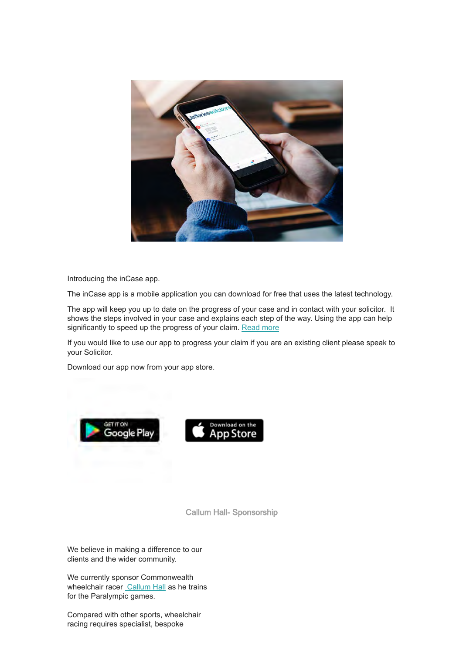

Introducing the inCase app.

The inCase app is a mobile application you can download for free that uses the latest technology.

The app will keep you up to date on the progress of your case and in contact with your solicitor. It shows the steps involved in your case and explains each step of the way. Using the app can help significantly to speed up the progress of your claim. [Read more](https://www.jefferies-solicitors.com/making-a-claim/jefferies-solicitors-app/)

If you would like to use our app to progress your claim if you are an existing client please speak to your Solicitor.

Download our app now from your app store.





Callum Hall- Sponsorship

We believe in making a difference to our clients and the wider community.

We currently sponsor Commonwealth wheelchair racer [Callum Hall](https://www.facebook.com/callumhallwheelchair/) as he trains for the Paralympic games.

Compared with other sports, wheelchair racing requires specialist, bespoke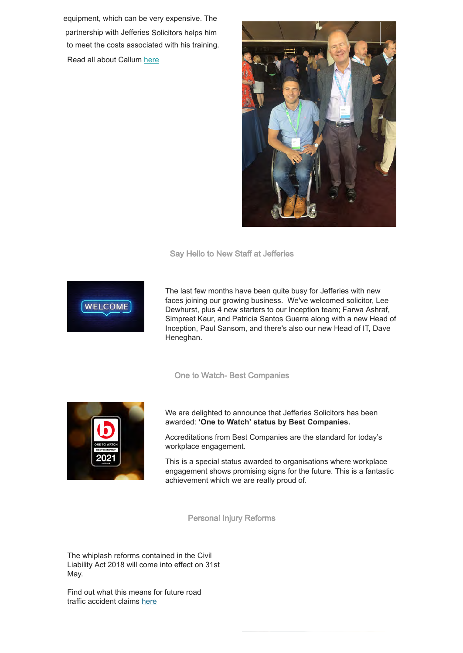equipment, which can be very expensive. The [partne](http://eepurl.com/hjkiHX)[rship with Jefferies S](https://us10.campaign-archive.com/home/?u=16ffdc5bca6da946a0a851c64&id=0528d005e6)olicitors helps him to meet the costs associated with his training. Read all about Callum [here](https://www.jefferies-solicitors.com/about-jefferies-solicitors/sponsorship-callum-hall/)



Say Hello to New Staff at Jefferies



The last few months have been quite busy for Jefferies with new faces joining our growing business. We've welcomed solicitor, Lee Dewhurst, plus 4 new starters to our Inception team; Farwa Ashraf, Simpreet Kaur, and Patricia Santos Guerra along with a new Head of Inception, Paul Sansom, and there's also our new Head of IT, Dave Heneghan.

## One to Watch- Best Companies



We are delighted to announce that Jefferies Solicitors has been awarded: **'One to Watch' status by Best Companies.**

Accreditations from Best Companies are the standard for today's workplace engagement.

This is a special status awarded to organisations where workplace engagement shows promising signs for the future. This is a fantastic achievement which we are really proud of.

Personal Injury Reforms

The whiplash reforms contained in the Civil Liability Act 2018 will come into effect on 31st May.

Find out what this means for future road traffic accident claims [here](https://www.jefferies-solicitors.com/media-centre/news/personal-injury-reforms/)